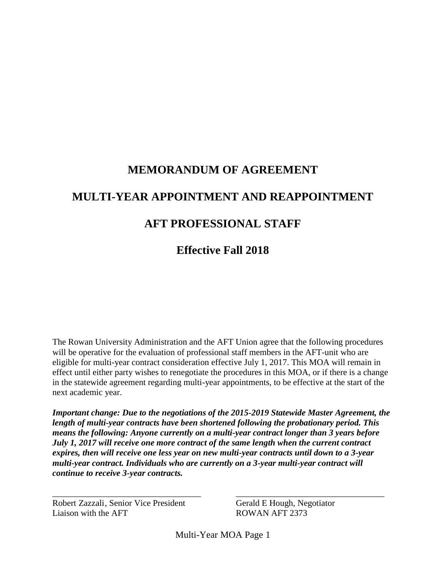# **MEMORANDUM OF AGREEMENT MULTI-YEAR APPOINTMENT AND REAPPOINTMENT AFT PROFESSIONAL STAFF**

# **Effective Fall 2018**

The Rowan University Administration and the AFT Union agree that the following procedures will be operative for the evaluation of professional staff members in the AFT-unit who are eligible for multi-year contract consideration effective July 1, 2017. This MOA will remain in effect until either party wishes to renegotiate the procedures in this MOA, or if there is a change in the statewide agreement regarding multi-year appointments, to be effective at the start of the next academic year.

*Important change: Due to the negotiations of the 2015-2019 Statewide Master Agreement, the length of multi-year contracts have been shortened following the probationary period. This means the following: Anyone currently on a multi-year contract longer than 3 years before July 1, 2017 will receive one more contract of the same length when the current contract expires, then will receive one less year on new multi-year contracts until down to a 3-year multi-year contract. Individuals who are currently on a 3-year multi-year contract will continue to receive 3-year contracts.*

Robert Zazzali, Senior Vice President Gerald E Hough, Negotiator Liaison with the AFT Marketing and ROWAN AFT 2373

Multi-Year MOA Page 1

\_\_\_\_\_\_\_\_\_\_\_\_\_\_\_\_\_\_\_\_\_\_\_\_\_\_\_\_\_\_\_\_\_\_ \_\_\_\_\_\_\_\_\_\_\_\_\_\_\_\_\_\_\_\_\_\_\_\_\_\_\_\_\_\_\_\_\_\_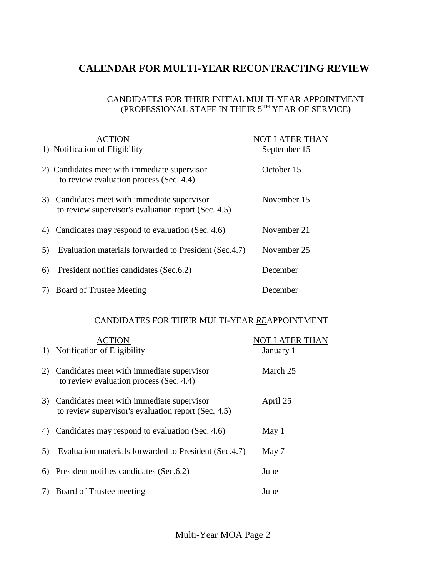# **CALENDAR FOR MULTI-YEAR RECONTRACTING REVIEW**

## CANDIDATES FOR THEIR INITIAL MULTI-YEAR APPOINTMENT (PROFESSIONAL STAFF IN THEIR 5TH YEAR OF SERVICE)

|    | ACTION<br>1) Notification of Eligibility                                                         | NOT LATER THAN<br>September 15 |
|----|--------------------------------------------------------------------------------------------------|--------------------------------|
|    | 2) Candidates meet with immediate supervisor<br>to review evaluation process (Sec. 4.4)          | October 15                     |
| 3) | Candidates meet with immediate supervisor<br>to review supervisor's evaluation report (Sec. 4.5) | November 15                    |
| 4) | Candidates may respond to evaluation (Sec. 4.6)                                                  | November 21                    |
| 5) | Evaluation materials forwarded to President (Sec. 4.7)                                           | November 25                    |
| 6) | President notifies candidates (Sec.6.2)                                                          | December                       |
| 7) | Board of Trustee Meeting                                                                         | December                       |

# CANDIDATES FOR THEIR MULTI-YEAR *RE*APPOINTMENT

|    | CTION<br>1) Notification of Eligibility                                                          | ' LATER THAN<br>January 1 |
|----|--------------------------------------------------------------------------------------------------|---------------------------|
| 2) | Candidates meet with immediate supervisor<br>to review evaluation process (Sec. 4.4)             | March 25                  |
| 3) | Candidates meet with immediate supervisor<br>to review supervisor's evaluation report (Sec. 4.5) | April 25                  |
| 4) | Candidates may respond to evaluation (Sec. 4.6)                                                  | May 1                     |
| 5) | Evaluation materials forwarded to President (Sec.4.7)                                            | May 7                     |
| 6) | President notifies candidates (Sec.6.2)                                                          | June                      |
| 7) | Board of Trustee meeting                                                                         | June                      |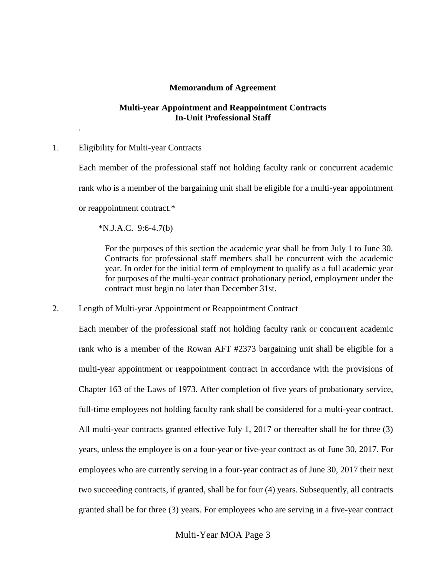#### **Memorandum of Agreement**

#### **Multi-year Appointment and Reappointment Contracts In-Unit Professional Staff**

#### 1. Eligibility for Multi-year Contracts

.

Each member of the professional staff not holding faculty rank or concurrent academic rank who is a member of the bargaining unit shall be eligible for a multi-year appointment or reappointment contract.\*

\*N.J.A.C. 9:6-4.7(b)

For the purposes of this section the academic year shall be from July 1 to June 30. Contracts for professional staff members shall be concurrent with the academic year. In order for the initial term of employment to qualify as a full academic year for purposes of the multi-year contract probationary period, employment under the contract must begin no later than December 31st.

2. Length of Multi-year Appointment or Reappointment Contract

Each member of the professional staff not holding faculty rank or concurrent academic rank who is a member of the Rowan AFT #2373 bargaining unit shall be eligible for a multi-year appointment or reappointment contract in accordance with the provisions of Chapter 163 of the Laws of 1973. After completion of five years of probationary service, full-time employees not holding faculty rank shall be considered for a multi-year contract. All multi-year contracts granted effective July 1, 2017 or thereafter shall be for three (3) years, unless the employee is on a four-year or five-year contract as of June 30, 2017. For employees who are currently serving in a four-year contract as of June 30, 2017 their next two succeeding contracts, if granted, shall be for four (4) years. Subsequently, all contracts granted shall be for three (3) years. For employees who are serving in a five-year contract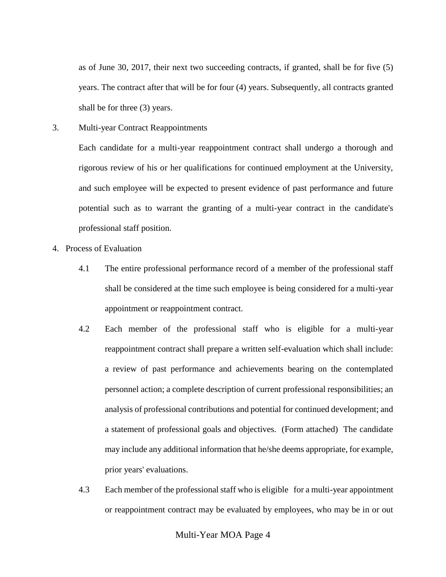as of June 30, 2017, their next two succeeding contracts, if granted, shall be for five (5) years. The contract after that will be for four (4) years. Subsequently, all contracts granted shall be for three (3) years.

3. Multi-year Contract Reappointments

Each candidate for a multi-year reappointment contract shall undergo a thorough and rigorous review of his or her qualifications for continued employment at the University, and such employee will be expected to present evidence of past performance and future potential such as to warrant the granting of a multi-year contract in the candidate's professional staff position.

- 4. Process of Evaluation
	- 4.1 The entire professional performance record of a member of the professional staff shall be considered at the time such employee is being considered for a multi-year appointment or reappointment contract.
	- 4.2 Each member of the professional staff who is eligible for a multi-year reappointment contract shall prepare a written self-evaluation which shall include: a review of past performance and achievements bearing on the contemplated personnel action; a complete description of current professional responsibilities; an analysis of professional contributions and potential for continued development; and a statement of professional goals and objectives. (Form attached) The candidate may include any additional information that he/she deems appropriate, for example, prior years' evaluations.
	- 4.3 Each member of the professional staff who is eligible for a multi-year appointment or reappointment contract may be evaluated by employees, who may be in or out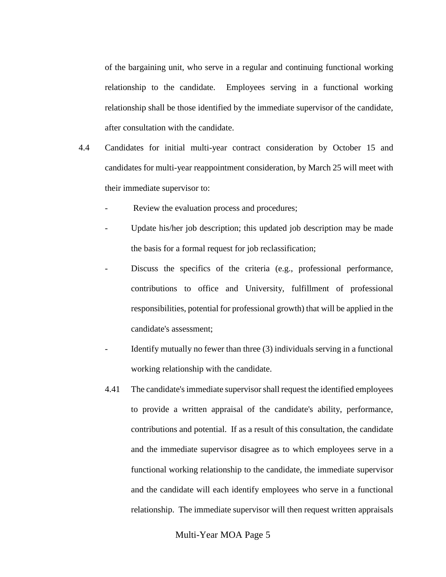of the bargaining unit, who serve in a regular and continuing functional working relationship to the candidate. Employees serving in a functional working relationship shall be those identified by the immediate supervisor of the candidate, after consultation with the candidate.

- 4.4 Candidates for initial multi-year contract consideration by October 15 and candidates for multi-year reappointment consideration, by March 25 will meet with their immediate supervisor to:
	- Review the evaluation process and procedures;
	- Update his/her job description; this updated job description may be made the basis for a formal request for job reclassification;
	- Discuss the specifics of the criteria (e.g., professional performance, contributions to office and University, fulfillment of professional responsibilities, potential for professional growth) that will be applied in the candidate's assessment;
	- Identify mutually no fewer than three (3) individuals serving in a functional working relationship with the candidate.
	- 4.41 The candidate's immediate supervisor shall request the identified employees to provide a written appraisal of the candidate's ability, performance, contributions and potential. If as a result of this consultation, the candidate and the immediate supervisor disagree as to which employees serve in a functional working relationship to the candidate, the immediate supervisor and the candidate will each identify employees who serve in a functional relationship. The immediate supervisor will then request written appraisals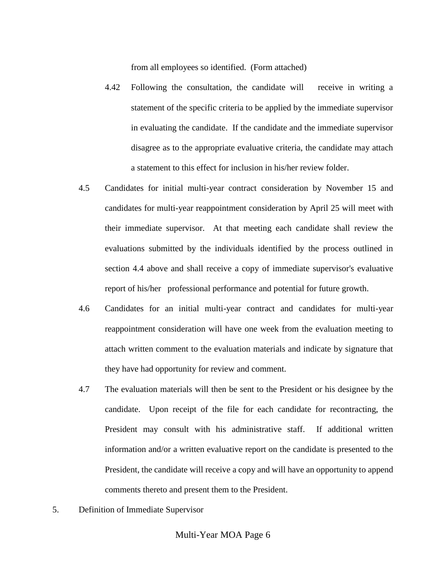from all employees so identified. (Form attached)

- 4.42 Following the consultation, the candidate will receive in writing a statement of the specific criteria to be applied by the immediate supervisor in evaluating the candidate. If the candidate and the immediate supervisor disagree as to the appropriate evaluative criteria, the candidate may attach a statement to this effect for inclusion in his/her review folder.
- 4.5 Candidates for initial multi-year contract consideration by November 15 and candidates for multi-year reappointment consideration by April 25 will meet with their immediate supervisor. At that meeting each candidate shall review the evaluations submitted by the individuals identified by the process outlined in section 4.4 above and shall receive a copy of immediate supervisor's evaluative report of his/her professional performance and potential for future growth.
- 4.6 Candidates for an initial multi-year contract and candidates for multi-year reappointment consideration will have one week from the evaluation meeting to attach written comment to the evaluation materials and indicate by signature that they have had opportunity for review and comment.
- 4.7 The evaluation materials will then be sent to the President or his designee by the candidate. Upon receipt of the file for each candidate for recontracting, the President may consult with his administrative staff. If additional written information and/or a written evaluative report on the candidate is presented to the President, the candidate will receive a copy and will have an opportunity to append comments thereto and present them to the President.
- 5. Definition of Immediate Supervisor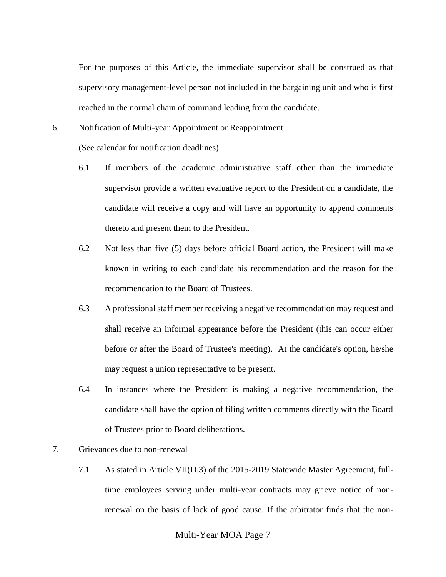For the purposes of this Article, the immediate supervisor shall be construed as that supervisory management-level person not included in the bargaining unit and who is first reached in the normal chain of command leading from the candidate.

6. Notification of Multi-year Appointment or Reappointment

(See calendar for notification deadlines)

- 6.1 If members of the academic administrative staff other than the immediate supervisor provide a written evaluative report to the President on a candidate, the candidate will receive a copy and will have an opportunity to append comments thereto and present them to the President.
- 6.2 Not less than five (5) days before official Board action, the President will make known in writing to each candidate his recommendation and the reason for the recommendation to the Board of Trustees.
- 6.3 A professional staff member receiving a negative recommendation may request and shall receive an informal appearance before the President (this can occur either before or after the Board of Trustee's meeting). At the candidate's option, he/she may request a union representative to be present.
- 6.4 In instances where the President is making a negative recommendation, the candidate shall have the option of filing written comments directly with the Board of Trustees prior to Board deliberations.
- 7. Grievances due to non-renewal
	- 7.1 As stated in Article VII(D.3) of the 2015-2019 Statewide Master Agreement, fulltime employees serving under multi-year contracts may grieve notice of nonrenewal on the basis of lack of good cause. If the arbitrator finds that the non-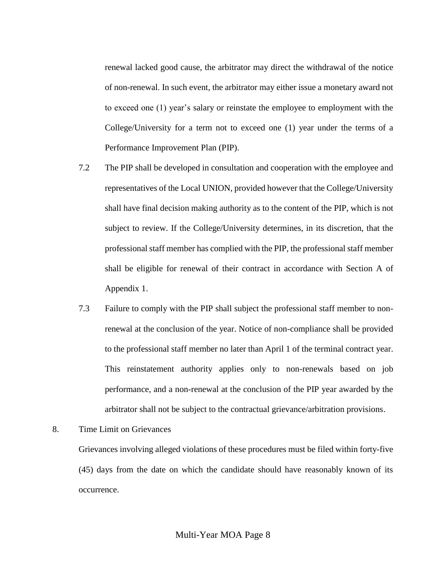renewal lacked good cause, the arbitrator may direct the withdrawal of the notice of non-renewal. In such event, the arbitrator may either issue a monetary award not to exceed one (1) year's salary or reinstate the employee to employment with the College/University for a term not to exceed one (1) year under the terms of a Performance Improvement Plan (PIP).

- 7.2 The PIP shall be developed in consultation and cooperation with the employee and representatives of the Local UNION, provided however that the College/University shall have final decision making authority as to the content of the PIP, which is not subject to review. If the College/University determines, in its discretion, that the professional staff member has complied with the PIP, the professional staff member shall be eligible for renewal of their contract in accordance with Section A of Appendix 1.
- 7.3 Failure to comply with the PIP shall subject the professional staff member to nonrenewal at the conclusion of the year. Notice of non-compliance shall be provided to the professional staff member no later than April 1 of the terminal contract year. This reinstatement authority applies only to non-renewals based on job performance, and a non-renewal at the conclusion of the PIP year awarded by the arbitrator shall not be subject to the contractual grievance/arbitration provisions.
- 8. Time Limit on Grievances

Grievances involving alleged violations of these procedures must be filed within forty-five (45) days from the date on which the candidate should have reasonably known of its occurrence.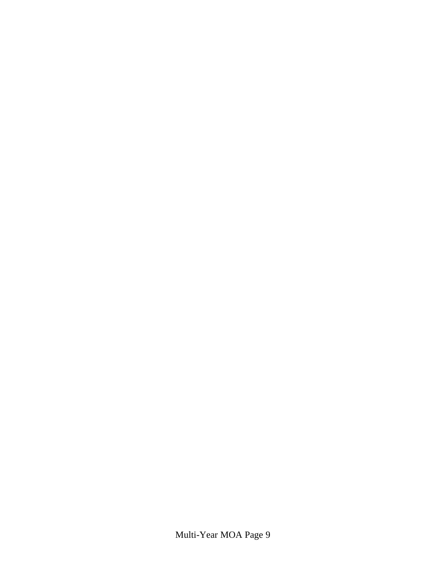Multi-Year MOA Page 9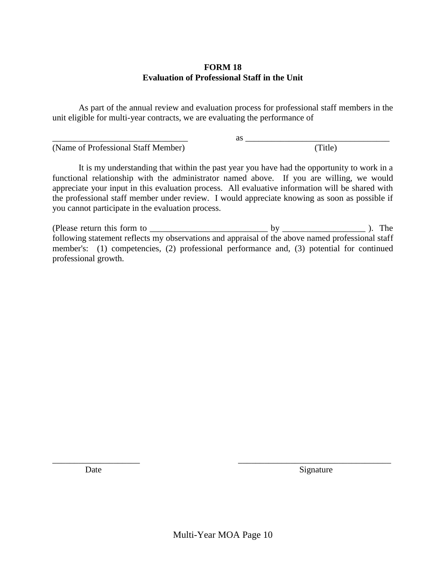#### **FORM 18 Evaluation of Professional Staff in the Unit**

As part of the annual review and evaluation process for professional staff members in the unit eligible for multi-year contracts, we are evaluating the performance of

 $\qquad \qquad \text{as} \qquad \qquad \qquad \qquad \text{as} \qquad \qquad \qquad \qquad \qquad \qquad \qquad \qquad \text{as}$ (Name of Professional Staff Member) (Title)

It is my understanding that within the past year you have had the opportunity to work in a functional relationship with the administrator named above. If you are willing, we would appreciate your input in this evaluation process. All evaluative information will be shared with the professional staff member under review. I would appreciate knowing as soon as possible if you cannot participate in the evaluation process.

(Please return this form to by by ). The following statement reflects my observations and appraisal of the above named professional staff member's: (1) competencies, (2) professional performance and, (3) potential for continued professional growth.

Date Signature

\_\_\_\_\_\_\_\_\_\_\_\_\_\_\_\_\_\_\_\_ \_\_\_\_\_\_\_\_\_\_\_\_\_\_\_\_\_\_\_\_\_\_\_\_\_\_\_\_\_\_\_\_\_\_\_